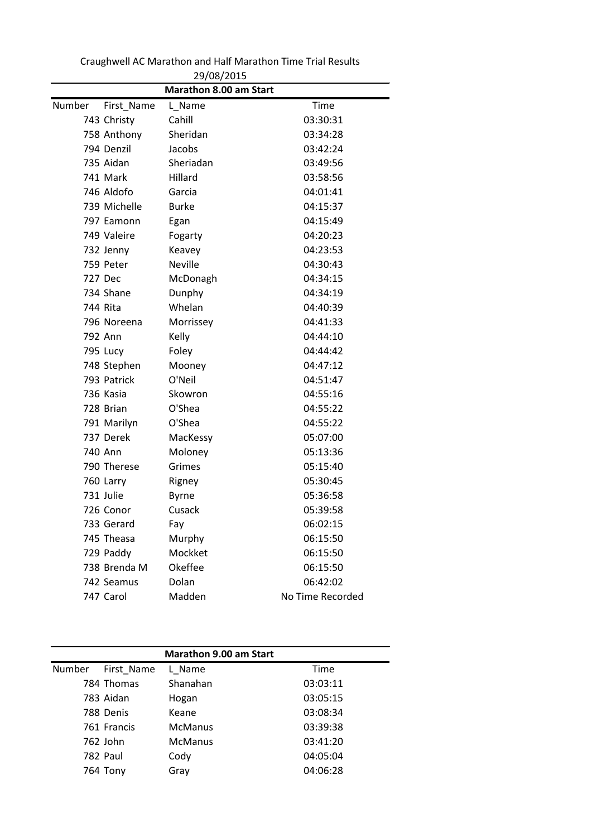| Craughwell AC Marathon and Half Marathon Time Trial Results |                 |                                      |                  |
|-------------------------------------------------------------|-----------------|--------------------------------------|------------------|
|                                                             |                 | 29/08/2015<br>Marathon 8.00 am Start |                  |
| Number                                                      | First_Name      | L Name                               | Time             |
|                                                             | 743 Christy     | Cahill                               | 03:30:31         |
|                                                             | 758 Anthony     | Sheridan                             | 03:34:28         |
|                                                             | 794 Denzil      | Jacobs                               | 03:42:24         |
|                                                             | 735 Aidan       | Sheriadan                            | 03:49:56         |
|                                                             | 741 Mark        | Hillard                              | 03:58:56         |
|                                                             | 746 Aldofo      | Garcia                               | 04:01:41         |
|                                                             | 739 Michelle    | <b>Burke</b>                         | 04:15:37         |
|                                                             | 797 Eamonn      | Egan                                 | 04:15:49         |
|                                                             | 749 Valeire     | Fogarty                              | 04:20:23         |
|                                                             | 732 Jenny       | Keavey                               | 04:23:53         |
|                                                             | 759 Peter       | <b>Neville</b>                       | 04:30:43         |
|                                                             | 727 Dec         | McDonagh                             | 04:34:15         |
|                                                             | 734 Shane       | Dunphy                               | 04:34:19         |
|                                                             | 744 Rita        | Whelan                               | 04:40:39         |
|                                                             | 796 Noreena     | Morrissey                            | 04:41:33         |
|                                                             | 792 Ann         | Kelly                                | 04:44:10         |
|                                                             | <b>795 Lucy</b> | Foley                                | 04:44:42         |
|                                                             | 748 Stephen     | Mooney                               | 04:47:12         |
|                                                             | 793 Patrick     | O'Neil                               | 04:51:47         |
|                                                             | 736 Kasia       | Skowron                              | 04:55:16         |
|                                                             | 728 Brian       | O'Shea                               | 04:55:22         |
|                                                             | 791 Marilyn     | O'Shea                               | 04:55:22         |
|                                                             | 737 Derek       | MacKessy                             | 05:07:00         |
|                                                             | 740 Ann         | Moloney                              | 05:13:36         |
|                                                             | 790 Therese     | Grimes                               | 05:15:40         |
|                                                             | 760 Larry       | Rigney                               | 05:30:45         |
|                                                             | 731 Julie       | Byrne                                | 05:36:58         |
|                                                             | 726 Conor       | Cusack                               | 05:39:58         |
|                                                             | 733 Gerard      | Fay                                  | 06:02:15         |
|                                                             | 745 Theasa      | Murphy                               | 06:15:50         |
|                                                             | 729 Paddy       | Mockket                              | 06:15:50         |
|                                                             | 738 Brenda M    | Okeffee                              | 06:15:50         |
|                                                             | 742 Seamus      | Dolan                                | 06:42:02         |
|                                                             | 747 Carol       | Madden                               | No Time Recorded |

| Craughwell AC Marathon and Half Marathon Time Trial Results |  |  |
|-------------------------------------------------------------|--|--|
|                                                             |  |  |

|        |             | <b>Marathon 9.00 am Start</b> |          |
|--------|-------------|-------------------------------|----------|
| Number | First Name  | L Name                        | Time     |
|        | 784 Thomas  | Shanahan                      | 03:03:11 |
|        | 783 Aidan   | Hogan                         | 03:05:15 |
|        | 788 Denis   | Keane                         | 03:08:34 |
|        | 761 Francis | <b>McManus</b>                | 03:39:38 |
|        | 762 John    | <b>McManus</b>                | 03:41:20 |
|        | 782 Paul    | Cody                          | 04:05:04 |
|        | 764 Tony    | Gray                          | 04:06:28 |